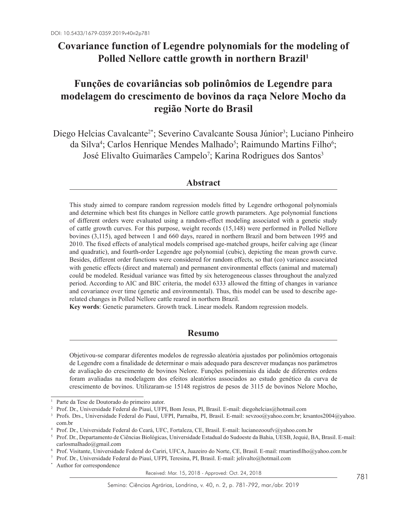# **Covariance function of Legendre polynomials for the modeling of Polled Nellore cattle growth in northern Brazil1**

# **Funções de covariâncias sob polinômios de Legendre para modelagem do crescimento de bovinos da raça Nelore Mocho da região Norte do Brasil**

Diego Helcias Cavalcante<sup>2\*</sup>; Severino Cavalcante Sousa Júnior<sup>3</sup>; Luciano Pinheiro da Silva<sup>4</sup>; Carlos Henrique Mendes Malhado<sup>5</sup>; Raimundo Martins Filho<sup>6</sup>; José Elivalto Guimarães Campelo<sup>7</sup>; Karina Rodrigues dos Santos<sup>3</sup>

# **Abstract**

This study aimed to compare random regression models fitted by Legendre orthogonal polynomials and determine which best fits changes in Nellore cattle growth parameters. Age polynomial functions of different orders were evaluated using a random-effect modeling associated with a genetic study of cattle growth curves. For this purpose, weight records (15,148) were performed in Polled Nellore bovines (3,115), aged between 1 and 660 days, reared in northern Brazil and born between 1995 and 2010. The fixed effects of analytical models comprised age-matched groups, heifer calving age (linear and quadratic), and fourth-order Legendre age polynomial (cubic), depicting the mean growth curve. Besides, different order functions were considered for random effects, so that (co) variance associated with genetic effects (direct and maternal) and permanent environmental effects (animal and maternal) could be modeled. Residual variance was fitted by six heterogeneous classes throughout the analyzed period. According to AIC and BIC criteria, the model 6333 allowed the fitting of changes in variance and covariance over time (genetic and environmental). Thus, this model can be used to describe agerelated changes in Polled Nellore cattle reared in northern Brazil.

**Key words**: Genetic parameters. Growth track. Linear models. Random regression models.

# **Resumo**

Objetivou-se comparar diferentes modelos de regressão aleatória ajustados por polinômios ortogonais de Legendre com a finalidade de determinar o mais adequado para descrever mudanças nos parâmetros de avaliação do crescimento de bovinos Nelore. Funções polinomiais da idade de diferentes ordens foram avaliadas na modelagem dos efeitos aleatórios associados ao estudo genético da curva de crescimento de bovinos. Utilizaram-se 15148 registros de pesos de 3115 de bovinos Nelore Mocho,

Received: Mar. 15, 2018 - Approved: Oct. 24, 2018

<sup>1</sup> Parte da Tese de Doutorado do primeiro autor.

<sup>2</sup> Prof. Dr., Universidade Federal do Piauí, UFPI, Bom Jesus, PI, Brasil. E-mail: diegohelcias@hotmail.com

<sup>&</sup>lt;sup>3</sup> Profs. Drs., Universidade Federal do Piauí, UFPI, Parnaíba, PI, Brasil. E-mail: sevzoo@yahoo.com.br; krsantos2004@yahoo. com.br

<sup>4</sup> Prof. Dr., Universidade Federal do Ceará, UFC, Fortaleza, CE, Brasil. E-mail: lucianozooufv@yahoo.com.br

<sup>5</sup> Prof. Dr., Departamento de Ciências Biológicas, Universidade Estadual do Sudoeste da Bahia, UESB, Jequié, BA, Brasil. E-mail: carlosmalhado@gmail.com

<sup>6</sup> Prof. Visitante, Universidade Federal do Cariri, UFCA, Juazeiro do Norte, CE, Brasil. E-mail: rmartinsfilho@yahoo.com.br

<sup>7</sup> Prof. Dr., Universidade Federal do Piauí, UFPI, Teresina, PI, Brasil. E-mail: jelivalto@hotmail.com

Author for correspondence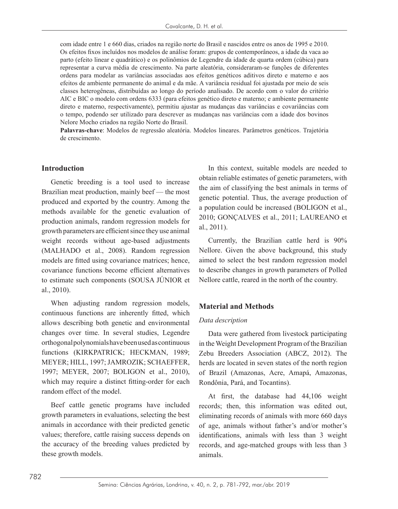com idade entre 1 e 660 dias, criados na região norte do Brasil e nascidos entre os anos de 1995 e 2010. Os efeitos fixos incluídos nos modelos de análise foram: grupos de contemporâneos, a idade da vaca ao parto (efeito linear e quadrático) e os polinômios de Legendre da idade de quarta ordem (cúbica) para representar a curva média de crescimento. Na parte aleatória, consideraram-se funções de diferentes ordens para modelar as variâncias associadas aos efeitos genéticos aditivos direto e materno e aos efeitos de ambiente permanente do animal e da mãe. A variância residual foi ajustada por meio de seis classes heterogêneas, distribuídas ao longo do período analisado. De acordo com o valor do critério AIC e BIC o modelo com ordens 6333 (para efeitos genético direto e materno; e ambiente permanente direto e materno, respectivamente), permitiu ajustar as mudanças das variâncias e covariâncias com o tempo, podendo ser utilizado para descrever as mudanças nas variâncias com a idade dos bovinos Nelore Mocho criados na região Norte do Brasil.

**Palavras-chave**: Modelos de regressão aleatória. Modelos lineares. Parâmetros genéticos. Trajetória de crescimento.

#### **Introduction**

Genetic breeding is a tool used to increase Brazilian meat production, mainly beef — the most produced and exported by the country. Among the methods available for the genetic evaluation of production animals, random regression models for growth parameters are efficient since they use animal weight records without age-based adjustments (MALHADO et al., 2008). Random regression models are fitted using covariance matrices; hence, covariance functions become efficient alternatives to estimate such components (SOUSA JÚNIOR et al., 2010).

When adjusting random regression models, continuous functions are inherently fitted, which allows describing both genetic and environmental changes over time. In several studies, Legendre orthogonal polynomials have been used as continuous functions (KIRKPATRICK; HECKMAN, 1989; MEYER; HILL, 1997; JAMROZIK; SCHAEFFER, 1997; MEYER, 2007; BOLIGON et al., 2010), which may require a distinct fitting-order for each random effect of the model.

Beef cattle genetic programs have included growth parameters in evaluations, selecting the best animals in accordance with their predicted genetic values; therefore, cattle raising success depends on the accuracy of the breeding values predicted by these growth models.

In this context, suitable models are needed to obtain reliable estimates of genetic parameters, with the aim of classifying the best animals in terms of genetic potential. Thus, the average production of a population could be increased (BOLIGON et al., 2010; GONÇALVES et al., 2011; LAUREANO et al., 2011).

Currently, the Brazilian cattle herd is 90% Nellore. Given the above background, this study aimed to select the best random regression model to describe changes in growth parameters of Polled Nellore cattle, reared in the north of the country.

#### **Material and Methods**

#### *Data description*

Data were gathered from livestock participating in the Weight Development Program of the Brazilian Zebu Breeders Association (ABCZ, 2012). The herds are located in seven states of the north region of Brazil (Amazonas, Acre, Amapá, Amazonas, Rondônia, Pará, and Tocantins).

At first, the database had 44,106 weight records; then, this information was edited out, eliminating records of animals with more 660 days of age, animals without father's and/or mother's identifications, animals with less than 3 weight records, and age-matched groups with less than 3 animals.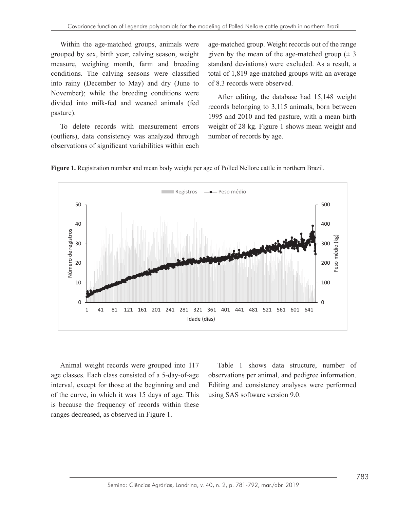Within the age-matched groups, animals were grouped by sex, birth year, calving season, weight measure, weighing month, farm and breeding conditions. The calving seasons were classified total of 1,819 age-matched groups with an average into rainy (December to May) and dry (June to of 8.3 records were observed. November); while the breeding conditions were  $A$  fter editing divided into milk-fed and weaned animals (fed pasture).

To delete records with measurement errors (outliers), data consistency was analyzed through observations of significant variabilities within each  $\sim$  10 acrosco 1

age-matched group. Weight records out of the range I by sex, birth year, calving season, weight given by the mean of the age-matched group  $(± 3$ standard deviations) were excluded. As a result, a total of 1,819 age-matched groups with an average of 8.3 records were observed.

After editing, the database had 15,148 weight  $\frac{1}{100}$  mine-red and wealled animals (red records belonging to 3,115 animals, born between pasture). 1995 and 2010 and fed pasture, with a mean birth  $\frac{1995}{2}$ weight of 28 kg. Figure 1 shows mean weight and number of records by age.





interval, except for those at the beginning and end of the curve, in which it was 15 days of age. This is age classes. Each class consisted of a 5-day-of-age observations per animal, and pe of the curve, in which it was 15 days of age. This using SAS software version 9.0. Animal weight records were grouped into 117 interval, except for those at the beginning and end is because the frequency of records within these ranges decreased, as observed in Figure 1.

, except for those at the beginning and end Editing and consistency analyses were performed Table 1 shows data structure, number of observations per animal, and pedigree information. using SAS software version 9.0.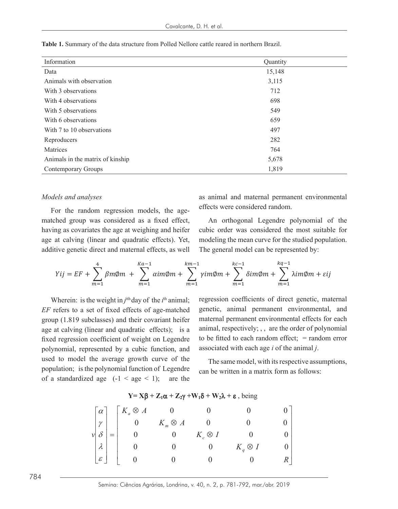| Information                      | Quantity |
|----------------------------------|----------|
| Data                             | 15,148   |
| Animals with observation         | 3,115    |
| With 3 observations              | 712      |
| With 4 observations              | 698      |
| With 5 observations              | 549      |
| With 6 observations              | 659      |
| With 7 to 10 observations        | 497      |
| Reproducers                      | 282      |
| Matrices                         | 764      |
| Animals in the matrix of kinship | 5,678    |
| <b>Contemporary Groups</b>       | 1,819    |

**Table 1.** Summary of the data structure from Polled Nellore cattle reared in northern Brazil.

#### *Models and analyses*

For the random regression models, the agematched group was considered as a fixed effect, having as covariates the age at weighing and heifer age at calving (linear and quadratic effects). Yet, modeling the mean curve for the studie additive genetic direct and maternal effects, as well r considered random.

as animal and maternal permanent environmental For the random regression models the age effects were considered random. An orthogonal Legendre polynomial of the cubic order was considered the most suitable for

An orthogonal Legendre polynomial of the as covariates the age at weighing and heifer cubic order was considered the most suitable for Yet, modeling the mean curve for the studied population. The general model can be represented by:

$$
Yij = EF + \sum_{m=1}^{4} \beta m\phi m + \sum_{m=1}^{Ka-1} \alpha im\phi m + \sum_{m=1}^{km-1} \gamma im\phi m + \sum_{m=1}^{kc-1} \delta im\phi m + \sum_{m=1}^{kq-1} \lambda im\phi m + \epsilon ij
$$

*EF* refers to a set of fixed effects of age-matched *EF* refers to a set of fixed effects of age-matched genetic, animal permanent environmental, and group (1.819 subclasses) and their covariant heifer maternal permanent environmental effects for each age at calving (linear and quadratic effects); is a animal, respectively;  $\alpha$ , are the order of polynomial the average growth curve of weight on Eigendre associated with each age *i* of the animal *j*. used to model the average growth curve of the Thesame model with its respective assumptions population; is the polynomial function of Legendre  $\epsilon$  can be written in a matrix form as follows: of a standardized age  $(-1 \leq age \leq 1)$ ; are the Wherein: is the weight in  $j<sup>ith</sup>$  day of the  $i<sup>th</sup>$  animal; fixed regression coefficient of weight on Legendre polynomial, represented by a cubic function, and associated with each age i of the animal j. to be fitted to each random effect;  $\frac{1}{2}$  and  $\frac{1}{2}$  and  $\frac{1}{2}$  and  $\frac{1}{2}$  and  $\frac{1}{2}$  and  $\frac{1}{2}$  and  $\frac{1}{2}$  and  $\frac{1}{2}$  and  $\frac{1}{2}$  and  $\frac{1}{2}$  and  $\frac{1}{2}$  and  $\frac{1}{2}$  and  $\frac{1}{2}$  and  $\frac$ 

Wherein: is the weight in  $i<sup>th</sup>$  day of the  $i<sup>th</sup>$  animal; regression coefficients of direct genetic, maternal maternal permanent environmental effects for each animal, respectively; , , are the order of polynomial

The same model, with its respective assumptions, ion; is the polynomial function of Legendre can be written in a matrix form as follows:

Ī

| $\vert \alpha \vert$       |                                                                                                                                       |                |             |  |
|----------------------------|---------------------------------------------------------------------------------------------------------------------------------------|----------------|-------------|--|
| $\gamma$                   | $\left[ \begin{array}{cccc} K_a \otimes A & 0 & 0 \\ 0 & K_m \otimes A & 0 \\ 0 & 0 & K_c \otimes I \\ 0 & 0 & 0 \end{array} \right]$ |                |             |  |
| $\delta$                   |                                                                                                                                       |                |             |  |
| $\lambda$                  |                                                                                                                                       |                | $\otimes$ 1 |  |
| $\boldsymbol{\mathcal{E}}$ |                                                                                                                                       | $\overline{0}$ |             |  |

 $Y = X\beta + Z_1\alpha + Z_2\gamma + W_1\delta + W_2\lambda + \varepsilon$ , being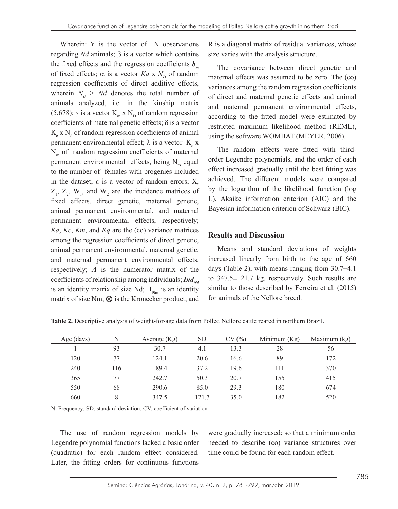Wherein: Y is the vector of N observations regarding *Nd* animals; β is a vector which contains the fixed effects and the regression coefficients  $b_m$ of fixed effects;  $\alpha$  is a vector *Ka* x  $N_p$  of random regression coefficients of direct additive effects, wherein  $N_p > Nd$  denotes the total number of animals analyzed, i.e. in the kinship matrix (5,678);  $\gamma$  is a vector K<sub>m</sub> x N<sub>D</sub> of random regression coefficients of maternal genetic effects;  $\delta$  is a vector  $K_c$  x  $N_d$  of random regression coefficients of animal permanent environmental effect;  $\lambda$  is a vector  $K_q x$  $N<sub>m</sub>$  of random regression coefficients of maternal permanent environmental effects, being  $N<sub>m</sub>$  equal to the number of females with progenies included in the dataset; ε is a vector of random errors; X,  $Z_1$ ,  $Z_2$ ,  $W_1$ , and  $W_2$  are the incidence matrices of fixed effects, direct genetic, maternal genetic, animal permanent environmental, and maternal permanent environmental effects, respectively; *Ka*, *Kc*, *Km*, and *Kq* are the (co) variance matrices among the regression coefficients of direct genetic, animal permanent environmental, maternal genetic, and maternal permanent environmental effects, respectively; *A* is the numerator matrix of the coefficients of relationship among individuals; **Ind**<sub>Nd</sub> is an identity matrix of size Nd;  $I_{Nm}$  is an identity matrix of size Nm; ⊗ is the Kronecker product; and

R is a diagonal matrix of residual variances, whose size varies with the analysis structure.

The covariance between direct genetic and maternal effects was assumed to be zero. The (co) variances among the random regression coefficients of direct and maternal genetic effects and animal and maternal permanent environmental effects, according to the fitted model were estimated by restricted maximum likelihood method (REML), using the software WOMBAT (MEYER, 2006).

The random effects were fitted with thirdorder Legendre polynomials, and the order of each effect increased gradually until the best fitting was achieved. The different models were compared by the logarithm of the likelihood function (log L), Akaike information criterion (AIC) and the Bayesian information criterion of Schwarz (BIC).

### **Results and Discussion**

Means and standard deviations of weights increased linearly from birth to the age of 660 days (Table 2), with means ranging from 30.7±4.1 to 347.5±121.7 kg, respectively. Such results are similar to those described by Ferreira et al. (2015) for animals of the Nellore breed.

| Age (days) | N   | Average $(Kg)$ | <b>SD</b> | CV(%) | Minimum $(Kg)$ | Maximum (kg) |
|------------|-----|----------------|-----------|-------|----------------|--------------|
|            | 93  | 30.7           | 4.1       | 13.3  | 28             | 56           |
| 120        | 77  | 124.1          | 20.6      | 16.6  | 89             | 172          |
| 240        | 116 | 189.4          | 37.2      | 19.6  | 111            | 370          |
| 365        | 77  | 242.7          | 50.3      | 20.7  | 155            | 415          |
| 550        | 68  | 290.6          | 85.0      | 29.3  | 180            | 674          |
| 660        | 8   | 347.5          | 121.7     | 35.0  | 182            | 520          |

**Table 2.** Descriptive analysis of weight-for-age data from Polled Nellore cattle reared in northern Brazil.

N: Frequency; SD: standard deviation; CV: coefficient of variation.

The use of random regression models by Legendre polynomial functions lacked a basic order (quadratic) for each random effect considered. Later, the fitting orders for continuous functions were gradually increased; so that a minimum order needed to describe (co) variance structures over time could be found for each random effect.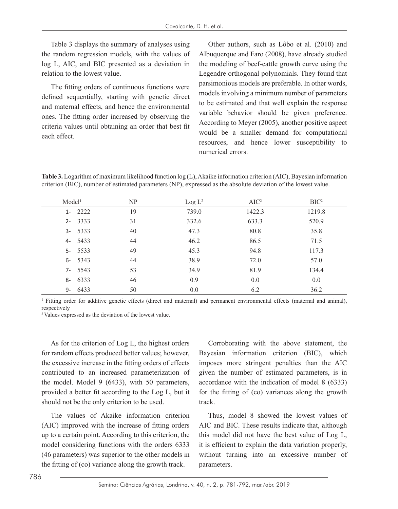Table 3 displays the summary of analyses using the random regression models, with the values of log L, AIC, and BIC presented as a deviation in relation to the lowest value.

The fitting orders of continuous functions were defined sequentially, starting with genetic direct and maternal effects, and hence the environmental ones. The fitting order increased by observing the criteria values until obtaining an order that best fit each effect.

Other authors, such as Lôbo et al. (2010) and Albuquerque and Faro (2008), have already studied the modeling of beef-cattle growth curve using the Legendre orthogonal polynomials. They found that parsimonious models are preferable. In other words, models involving a minimum number of parameters to be estimated and that well explain the response variable behavior should be given preference. According to Meyer (2005), another positive aspect would be a smaller demand for computational resources, and hence lower susceptibility to numerical errors.

**Table 3.** Logarithm of maximum likelihood function log (L), Akaike information criterion (AIC), Bayesian information criterion (BIC), number of estimated parameters (NP), expressed as the absolute deviation of the lowest value.

| Model <sup>1</sup> | NP | Log L <sup>2</sup> | $AIC^2$ | BIC <sup>2</sup> |
|--------------------|----|--------------------|---------|------------------|
| 2222<br>$1 -$      | 19 | 739.0              | 1422.3  | 1219.8           |
| 2- 3333            | 31 | 332.6              | 633.3   | 520.9            |
| $3 - 5333$         | 40 | 47.3               | 80.8    | 35.8             |
| 5433<br>4-         | 44 | 46.2               | 86.5    | 71.5             |
| $5 - 5533$         | 49 | 45.3               | 94.8    | 117.3            |
| $6 - 5343$         | 44 | 38.9               | 72.0    | 57.0             |
| $7 - 5543$         | 53 | 34.9               | 81.9    | 134.4            |
| 6333<br>8-         | 46 | 0.9                | 0.0     | 0.0              |
| 6433<br>9-         | 50 | 0.0                | 6.2     | 36.2             |

<sup>1</sup> Fitting order for additive genetic effects (direct and maternal) and permanent environmental effects (maternal and animal), respectively

<sup>2</sup>Values expressed as the deviation of the lowest value.

As for the criterion of Log L, the highest orders for random effects produced better values; however, the excessive increase in the fitting orders of effects contributed to an increased parameterization of the model. Model 9 (6433), with 50 parameters, provided a better fit according to the Log L, but it should not be the only criterion to be used.

The values of Akaike information criterion (AIC) improved with the increase of fitting orders up to a certain point. According to this criterion, the model considering functions with the orders 6333 (46 parameters) was superior to the other models in the fitting of (co) variance along the growth track.

Corroborating with the above statement, the Bayesian information criterion (BIC), which imposes more stringent penalties than the AIC given the number of estimated parameters, is in accordance with the indication of model 8 (6333) for the fitting of (co) variances along the growth track.

Thus, model 8 showed the lowest values of AIC and BIC. These results indicate that, although this model did not have the best value of Log L, it is efficient to explain the data variation properly, without turning into an excessive number of parameters.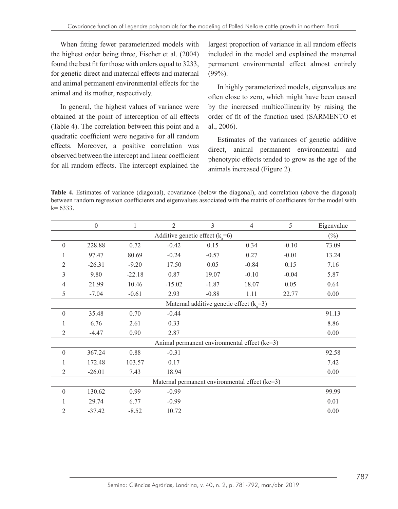When fitting fewer parameterized models with the highest order being three, Fischer et al. (2004) found the best fit for those with orders equal to 3233, for genetic direct and maternal effects and maternal and animal permanent environmental effects for the animal and its mother, respectively.

In general, the highest values of variance were obtained at the point of interception of all effects (Table 4). The correlation between this point and a quadratic coefficient were negative for all random effects. Moreover, a positive correlation was observed between the intercept and linear coefficient for all random effects. The intercept explained the largest proportion of variance in all random effects included in the model and explained the maternal permanent environmental effect almost entirely  $(99\%)$ .

In highly parameterized models, eigenvalues are often close to zero, which might have been caused by the increased multicollinearity by raising the order of fit of the function used (SARMENTO et al., 2006).

Estimates of the variances of genetic additive direct, animal permanent environmental and phenotypic effects tended to grow as the age of the animals increased (Figure 2).

**Table 4.** Estimates of variance (diagonal), covariance (below the diagonal), and correlation (above the diagonal) between random regression coefficients and eigenvalues associated with the matrix of coefficients for the model with  $k= 6333$ .

|                                                | $\boldsymbol{0}$ | 1        | $\overline{2}$ | 3       | $\overline{4}$ | 5       | Eigenvalue |
|------------------------------------------------|------------------|----------|----------------|---------|----------------|---------|------------|
| Additive genetic effect $(k=6)$<br>$(\%)$      |                  |          |                |         |                |         |            |
| $\boldsymbol{0}$                               | 228.88           | 0.72     | $-0.42$        | 0.15    | 0.34           | $-0.10$ | 73.09      |
| 1                                              | 97.47            | 80.69    | $-0.24$        | $-0.57$ | 0.27           | $-0.01$ | 13.24      |
| 2                                              | $-26.31$         | $-9.20$  | 17.50          | 0.05    | $-0.84$        | 0.15    | 7.16       |
| 3                                              | 9.80             | $-22.18$ | 0.87           | 19.07   | $-0.10$        | $-0.04$ | 5.87       |
| 4                                              | 21.99            | 10.46    | $-15.02$       | $-1.87$ | 18.07          | 0.05    | 0.64       |
| 5                                              | $-7.04$          | $-0.61$  | 2.93           | $-0.88$ | 1.11           | 22.77   | 0.00       |
| Maternal additive genetic effect $(k=3)$       |                  |          |                |         |                |         |            |
| $\theta$                                       | 35.48            | 0.70     | $-0.44$        |         |                |         | 91.13      |
|                                                | 6.76             | 2.61     | 0.33           |         |                |         | 8.86       |
| 2                                              | $-4.47$          | 0.90     | 2.87           |         |                |         | 0.00       |
| Animal permanent environmental effect (kc=3)   |                  |          |                |         |                |         |            |
| $\theta$                                       | 367.24           | 0.88     | $-0.31$        |         |                |         | 92.58      |
| 1                                              | 172.48           | 103.57   | 0.17           |         |                |         | 7.42       |
| 2                                              | $-26.01$         | 7.43     | 18.94          |         |                |         | 0.00       |
| Maternal permanent environmental effect (kc=3) |                  |          |                |         |                |         |            |
| $\theta$                                       | 130.62           | 0.99     | $-0.99$        |         |                |         | 99.99      |
|                                                | 29.74            | 6.77     | $-0.99$        |         |                |         | 0.01       |
| 2                                              | $-37.42$         | $-8.52$  | 10.72          |         |                |         | 0.00       |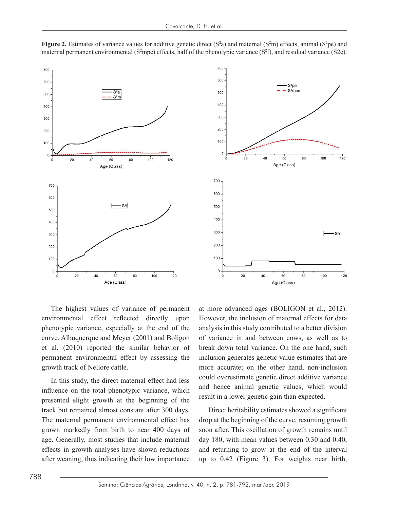

**Figure 2.** Estimates of variance values for additive genetic direct  $(S^2a)$  and maternal  $(S^2m)$  effects, animal  $(S^2pe)$  and maternal permanent environmental ( $S<sup>2</sup>mpe$ ) effects, half of the phenotypic variance ( $S<sup>2</sup>f$ ), and residual variance ( $S<sup>2</sup>e$ ).



The highest values of variance of permanent environmental effect reflected directly upon phenotypic variance, especially at the end of the curve. Albuquerque and Meyer (2001) and Boligon et al. (2010) reported the similar behavior of permanent environmental effect by assessing the growth track of Nellore cattle.

In this study, the direct maternal effect had less influence on the total phenotypic variance, which presented slight growth at the beginning of the result in a lower genetic gain than expected. track but remained almost constant after 300 days. Direct heritability estimates showed a significant The maternal permanent environmental effect has grown markedly from birth to near 400 days of age. Generally, most studies that include maternal effects in growth analyses have shown reductions after weaning, thus indicating their low importance up to 0.42 (Figure 3). For weights ne influence on the total phenotypic variance, which and hence animal genetic values, which would reserved slight growth at the beginning of the result in a lower genetic gain than expected.

ental effect reflected directly upon However, the inclusion of maternal effects for data phenotypic variance, especially at the end of the analysis in this study contributed to a better division curve. Albuquerque and Meyer (2001) and Boligon of variance in and between cows, as well as to In this study, the direct maternal effect  $\epsilon$ , which is interacted generate generate on the other hand, non-inclusion accurate; on the other hand, non-inclusion In this study the direct maternal effect had less. could overestimate genetic direct additive variance at more advanced ages (BOLIGON et al., 2012). break down total variance. On the one hand, such inclusion generates genetic value estimates that are

The maternal permanent environmental effect has drop at the beginning of the curve, resuming growth grows indicating from them to break down to any one of the active and one hand, such includes generates and the one hand, such a such include maternal day 180, with mean values between 0.30 and 0.40, effects in growth analyses have shown reductions and returning to grow at the end of the interval Direct heritability estimates showed a significant soon after. This oscillation of growth remains until up to 0.42 (Figure 3). For weights near birth,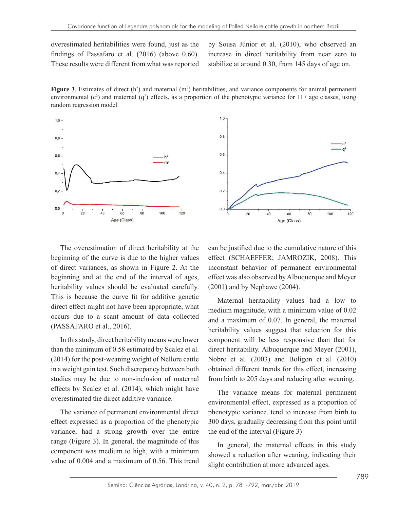overestimated heritabilities were found, just as the findings of Passafaro et al. (2016) (above 0.60). These results were different from what was reported  $d_{\text{max}}$  of the state of an  $(2010)$  (above 0.00). Increase in ancer heritability

by Sousa Júnior et al. (2010), who observed an increase in direct heritability from near zero to stabilize at around 0.30, from 145 days of age on.

Figure 3. Estimates of direct  $(h^2)$  and maternal  $(m^2)$  heritabilities, and variance components for animal permanent environmental  $(c^2)$  and maternal  $(q^2)$  effects, as a proportion of the phenotypic variance for 117 age classes, using random regression model.





beginning and at the end of the interval of ages, effect was also observed by Albuquerque and N his is because the curve fit for additive genetic Maternal heritability values had a low to (PASSAFARO et al., 2016). The overestimation of direct heritability at the beginning of the curve is due to the higher values of direct variances, as shown in Figure 2. At the This is because the curve fit for additive genetic direct effect might not have been appropriate, what occurs due to a scant amount of data collected

tudies may be due to non-inclusion of maternal from birth to 205 days and reducing after weaning. (2004). overestimated the direct additive variance. In this study, direct heritability means were lower than the minimum of 0.58 estimated by Scalez et al. (2014) for the post-weaning weight of Nellore cattle in a weight gain test. Such discrepancy between both studies may be due to non-inclusion of maternal effects by Scalez et al. (2014), which might have

variance, had a strong growth over the entire the end of the interval (Figure 3) range (Figure 3). In general, the magnitude of this  $\overline{a}$  is general, the maternal effects in this study component was medium to high, with a minimum The variance of permanent environmental direct effect expressed as a proportion of the phenotypic value of 0.004 and a maximum of 0.56. This trend

The overestimation of direct heritability at the can be justified due to the cumulative nature of this values is because the curve for additive general carefully. The curve for additional property for a stronger of direct variances, as shown in Figure 2. At the inconstant behavior of permanent environmental heritability values should be evaluated carefully.  $(2001)$  and by Nephawe  $(2004)$ . effect (SCHAEFFER; JAMROZIK, 2008). This effect was also observed by Albuquerque and Meyer (2001) and by Nephawe (2004).

 $\frac{1}{2}$  medium magnitude, with a minimum value of 0.02 The variance of permanent environmental direct expression as a proportion of the phenotypical direct expression of the phenotypical direct expression of the phenotypical direct expression of the phenotypical direct express han the minimum of 0.58 estimated by Scalez et al. direct heritability. Albuquerque and Meyer (2001), 2014) for the post-weaning weight of Nellore cattle Nobre et al. (2003) and Boligon et al. (2010) n a weight gain test. Such discrepancy between both obtained different trends for this effect, increasing and a maximum of 0.07. In general, the maternal heritability values suggest that selection for this component will be less responsive than that for

environmental effect, expressed as a proportion of 0.02 and a minimum value of 0.02 and a minimum value of 0.02 and a minimum value of 0.02 and a minimum value of 0.02 and a minimum value of 0.02 and 0.02 and 0.02 and 0.02 ffect expressed as a proportion of the phenotypic  $\frac{1}{300}$  days, gradually decreasing from this point until The variance means for maternal permanent phenotypic variance, tend to increase from birth to the end of the interval (Figure 3)

The variance meaning of v. So. This trend slight contribution at more advanced ages. In general, the maternal effects in this study showed a reduction after weaning, indicating their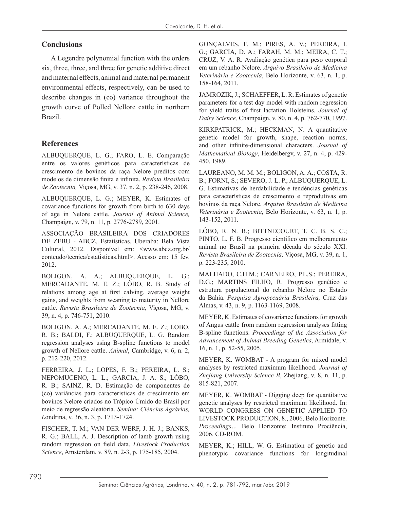### **Conclusions**

A Legendre polynomial function with the orders six, three, three, and three for genetic additive direct and maternal effects, animal and maternal permanent environmental effects, respectively, can be used to describe changes in (co) variance throughout the growth curve of Polled Nellore cattle in northern Brazil.

## **References**

ALBUQUERQUE, L. G.; FARO, L. E. Comparação entre os valores genéticos para características de crescimento de bovinos da raça Nelore preditos com modelos de dimensão finita e infinita. *Revista Brasileira de Zootecnia,* Viçosa, MG, v. 37, n. 2, p. 238-246, 2008.

ALBUQUERQUE, L. G.; MEYER, K. Estimates of covariance functions for growth from birth to 630 days of age in Nelore cattle. *Journal of Animal Science,* Champaign, v. 79, n. 11, p. 2776-2789, 2001.

ASSOCIAÇÃO BRASILEIRA DOS CRIADORES DE ZEBU - ABCZ. Estatísticas. Uberaba: Bela Vista Cultural, 2012. Disponível em: <www.abcz.org.br/ conteudo/tecnica/estatisticas.html>. Acesso em: 15 fev. 2012.

BOLIGON, A. A.; ALBUQUERQUE, L. G.; MERCADANTE, M. E. Z.; LÔBO, R. B. Study of relations among age at first calving, average weight gains, and weights from weaning to maturity in Nellore cattle. *Revista Brasileira de Zootecnia,* Viçosa, MG, v. 39, n. 4, p. 746-751, 2010.

BOLIGON, A. A.; MERCADANTE, M. E. Z.; LOBO, R. B.; BALDI, F.; ALBUQUERQUE, L. G. Random regression analyses using B-spline functions to model growth of Nellore cattle. *Animal*, Cambridge, v. 6, n. 2, p. 212-220, 2012.

FERREIRA, J. L.; LOPES, F. B.; PEREIRA, L. S.; NEPOMUCENO, L. L.; GARCIA, J. A. S.; LÔBO, R. B.; SAINZ, R. D. Estimação de componentes de (co) variâncias para características de crescimento em bovinos Nelore criados no Trópico Úmido do Brasil por meio de regressão aleatória. *Semina: Ciências Agrárias, L*ondrina, v. 36, n. 3, p. 1713-1724.

FISCHER, T. M.; VAN DER WERF, J. H. J.; BANKS, R. G.; BALL, A. J. Description of lamb growth using random regression on field data. *Livestock Production Science*, Amsterdam, v. 89, n. 2-3, p. 175-185, 2004.

GONÇALVES, F. M.; PIRES, A. V.; PEREIRA, I. G.; GARCIA, D. A.; FARAH, M. M.; MEIRA, C. T.; CRUZ, V. A. R. Avaliação genética para peso corporal em um rebanho Nelore. *Arquivo Brasileiro de Medicina Veterinária e Zootecnia*, Belo Horizonte, v. 63, n. 1, p. 158-164, 2011.

JAMROZIK, J.; SCHAEFFER, L. R. Estimates of genetic parameters for a test day model with random regression for yield traits of first lactation Holsteins. *Journal of Dairy Science,* Champaign, v. 80, n. 4, p. 762-770, 1997.

KIRKPATRICK, M.; HECKMAN, N. A quantitative genetic model for growth, shape, reaction norms, and other infinite-dimensional characters. *Journal of Mathematical Biology*, Heidelbergv, v. 27, n. 4, p. 429- 450, 1989.

LAUREANO, M. M. M.; BOLIGON, A. A.; COSTA, R. B.; FORNI, S.; SEVERO, J. L. P.; ALBUQUERQUE, L. G. Estimativas de herdabilidade e tendências genéticas para características de crescimento e reprodutivas em bovinos da raça Nelore. *Arquivo Brasileiro de Medicina Veterinária e Zootecnia*, Belo Horizonte, v. 63, n. 1, p. 143-152, 2011.

LÔBO, R. N. B.; BITTNECOURT, T. C. B. S. C.; PINTO, L. F. B. Progresso científico em melhoramento animal no Brasil na primeira década do século XXI. *Revista Brasileira de Zootecnia,* Viçosa, MG, v. 39, n. 1, p. 223-235, 2010.

MALHADO, C.H.M.; CARNEIRO, P.L.S.; PEREIRA, D.G.; MARTINS FILHO, R. Progresso genético e estrutura populacional do rebanho Nelore no Estado da Bahia. *Pesquisa Agropecuária Brasileira,* Cruz das Almas, v. 43, n. 9, p. 1163-1169, 2008.

MEYER, K. Estimates of covariance functions for growth of Angus cattle from random regression analyses fitting B-spline functions. *Proceedings of the Association for Advancement of Animal Breeding Genetics*, Armidale, v. 16, n. 1, p. 52-55, 2005.

MEYER, K. WOMBAT - A program for mixed model analyses by restricted maximum likelihood. *Journal of Zhejiang University Science B*, Zhejiang, v. 8, n. 11, p. 815-821, 2007.

MEYER, K. WOMBAT - Digging deep for quantitative genetic analyses by restricted maximum likelihood. In: WORLD CONGRESS ON GENETIC APPLIED TO LIVESTOCK PRODUCTION, 8., 2006, Belo Horizonte. *Proceedings…* Belo Horizonte: Instituto Prociência, 2006. CD-ROM.

MEYER, K.; HILL, W. G. Estimation of genetic and phenotypic covariance functions for longitudinal